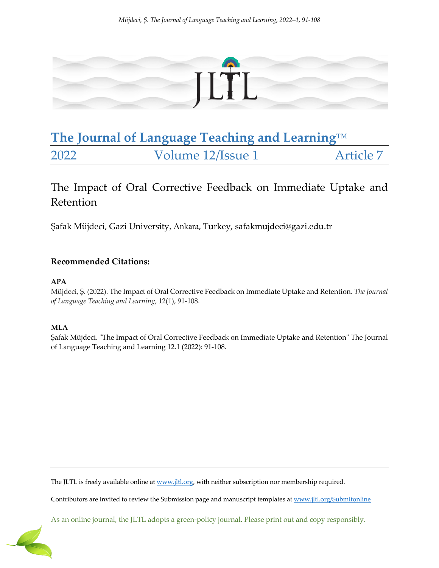

# **The Journal of Language Teaching and Learning**™ 2022 Volume 12/Issue 1 Article 7

The Impact of Oral Corrective Feedback on Immediate Uptake and Retention

Şafak Müjdeci, Gazi University, Ankara, Turkey, safakmujdeci@gazi.edu.tr

# **Recommended Citations:**

# **APA**

Müjdeci, Ş. (2022). The Impact of Oral Corrective Feedback on Immediate Uptake and Retention. *The Journal of Language Teaching and Learning*, 12(1), 91-108.

# **MLA**

Şafak Müjdeci. "The Impact of Oral Corrective Feedback on Immediate Uptake and Retention" The Journal of Language Teaching and Learning 12.1 (2022): 91-108.

The JLTL is freely available online at www.jltl.org, with neither subscription nor membership required.

Contributors are invited to review the Submission page and manuscript templates at www.jltl.org/Submitonline

As an online journal, the JLTL adopts a green-policy journal. Please print out and copy responsibly.

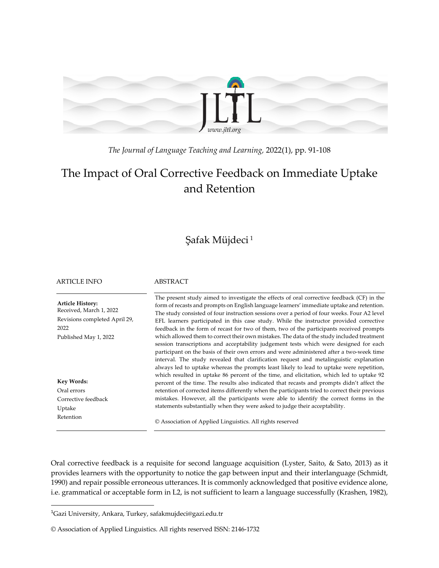

*The Journal of Language Teaching and Learning,* 2022(1), pp. 91-108

# The Impact of Oral Corrective Feedback on Immediate Uptake and Retention

# Şafak Müjdeci <sup>1</sup>

ARTICLE INFO ABSTRACT

**Article History:** Received, March 1, 2022 Revisions completed April 29, 2022 Published May 1, 2022 **Key Words:** Oral errors Corrective feedback Uptake Retention The present study aimed to investigate the effects of oral corrective feedback (CF) in the form of recasts and prompts on English language learners' immediate uptake and retention. The study consisted of four instruction sessions over a period of four weeks. Four A2 level EFL learners participated in this case study. While the instructor provided corrective feedback in the form of recast for two of them, two of the participants received prompts which allowed them to correct their own mistakes. The data of the study included treatment session transcriptions and acceptability judgement tests which were designed for each participant on the basis of their own errors and were administered after a two-week time interval. The study revealed that clarification request and metalinguistic explanation always led to uptake whereas the prompts least likely to lead to uptake were repetition, which resulted in uptake 86 percent of the time, and elicitation, which led to uptake 92 percent of the time. The results also indicated that recasts and prompts didn't affect the retention of corrected items differently when the participants tried to correct their previous mistakes. However, all the participants were able to identify the correct forms in the statements substantially when they were asked to judge their acceptability. © Association of Applied Linguistics. All rights reserved

Oral corrective feedback is a requisite for second language acquisition (Lyster, Saito, & Sato, 2013) as it provides learners with the opportunity to notice the gap between input and their interlanguage (Schmidt, 1990) and repair possible erroneous utterances. It is commonly acknowledged that positive evidence alone, i.e. grammatical or acceptable form in L2, is not sufficient to learn a language successfully (Krashen, 1982),

<sup>&</sup>lt;sup>1</sup>Gazi University, Ankara, Turkey, safakmujdeci@gazi.edu.tr

<sup>©</sup> Association of Applied Linguistics. All rights reserved ISSN: 2146-1732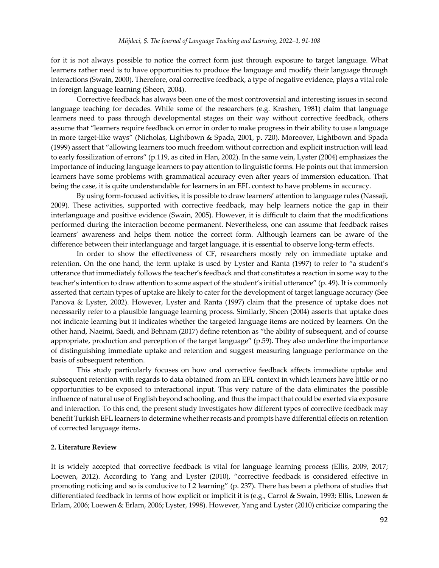for it is not always possible to notice the correct form just through exposure to target language. What learners rather need is to have opportunities to produce the language and modify their language through interactions (Swain, 2000). Therefore, oral corrective feedback, a type of negative evidence, plays a vital role in foreign language learning (Sheen, 2004).

Corrective feedback has always been one of the most controversial and interesting issues in second language teaching for decades. While some of the researchers (e.g. Krashen, 1981) claim that language learners need to pass through developmental stages on their way without corrective feedback, others assume that "learners require feedback on error in order to make progress in their ability to use a language in more target-like ways" (Nicholas, Lightbown & Spada, 2001, p. 720). Moreover, Lightbown and Spada (1999) assert that "allowing learners too much freedom without correction and explicit instruction will lead to early fossilization of errors" (p.119, as cited in Han, 2002). In the same vein, Lyster (2004) emphasizes the importance of inducing language learners to pay attention to linguistic forms. He points out that immersion learners have some problems with grammatical accuracy even after years of immersion education. That being the case, it is quite understandable for learners in an EFL context to have problems in accuracy.

By using form-focused activities, it is possible to draw learners' attention to language rules (Nassaji, 2009). These activities, supported with corrective feedback, may help learners notice the gap in their interlanguage and positive evidence (Swain, 2005). However, it is difficult to claim that the modifications performed during the interaction become permanent. Nevertheless, one can assume that feedback raises learners' awareness and helps them notice the correct form. Although learners can be aware of the difference between their interlanguage and target language, it is essential to observe long-term effects.

In order to show the effectiveness of CF, researchers mostly rely on immediate uptake and retention. On the one hand, the term uptake is used by Lyster and Ranta (1997) to refer to "a student's utterance that immediately follows the teacher's feedback and that constitutes a reaction in some way to the teacher's intention to draw attention to some aspect of the student's initial utterance" (p. 49). It is commonly asserted that certain types of uptake are likely to cater for the development of target language accuracy (See Panova & Lyster, 2002). However, Lyster and Ranta (1997) claim that the presence of uptake does not necessarily refer to a plausible language learning process. Similarly, Sheen (2004) asserts that uptake does not indicate learning but it indicates whether the targeted language items are noticed by learners. On the other hand, Naeimi, Saedi, and Behnam (2017) define retention as "the ability of subsequent, and of course appropriate, production and perception of the target language" (p.59). They also underline the importance of distinguishing immediate uptake and retention and suggest measuring language performance on the basis of subsequent retention.

This study particularly focuses on how oral corrective feedback affects immediate uptake and subsequent retention with regards to data obtained from an EFL context in which learners have little or no opportunities to be exposed to interactional input. This very nature of the data eliminates the possible influence of natural use of English beyond schooling, and thus the impact that could be exerted via exposure and interaction. To this end, the present study investigates how different types of corrective feedback may benefit Turkish EFL learners to determine whether recasts and prompts have differential effects on retention of corrected language items.

#### **2. Literature Review**

It is widely accepted that corrective feedback is vital for language learning process (Ellis, 2009, 2017; Loewen, 2012). According to Yang and Lyster (2010), "corrective feedback is considered effective in promoting noticing and so is conducive to L2 learning" (p. 237). There has been a plethora of studies that differentiated feedback in terms of how explicit or implicit it is (e.g., Carrol & Swain, 1993; Ellis, Loewen & Erlam, 2006; Loewen & Erlam, 2006; Lyster, 1998). However, Yang and Lyster (2010) criticize comparing the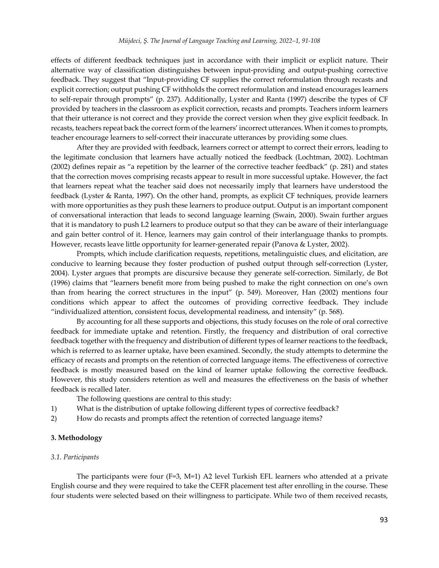effects of different feedback techniques just in accordance with their implicit or explicit nature. Their alternative way of classification distinguishes between input-providing and output-pushing corrective feedback. They suggest that "Input-providing CF supplies the correct reformulation through recasts and explicit correction; output pushing CF withholds the correct reformulation and instead encourages learners to self-repair through prompts" (p. 237). Additionally, Lyster and Ranta (1997) describe the types of CF provided by teachers in the classroom as explicit correction, recasts and prompts. Teachers inform learners that their utterance is not correct and they provide the correct version when they give explicit feedback. In recasts, teachers repeat back the correct form of the learners' incorrect utterances. When it comes to prompts, teacher encourage learners to self-correct their inaccurate utterances by providing some clues.

After they are provided with feedback, learners correct or attempt to correct their errors, leading to the legitimate conclusion that learners have actually noticed the feedback (Lochtman, 2002). Lochtman (2002) defines repair as "a repetition by the learner of the corrective teacher feedback" (p. 281) and states that the correction moves comprising recasts appear to result in more successful uptake. However, the fact that learners repeat what the teacher said does not necessarily imply that learners have understood the feedback (Lyster & Ranta, 1997). On the other hand, prompts, as explicit CF techniques, provide learners with more opportunities as they push these learners to produce output. Output is an important component of conversational interaction that leads to second language learning (Swain, 2000). Swain further argues that it is mandatory to push L2 learners to produce output so that they can be aware of their interlanguage and gain better control of it. Hence, learners may gain control of their interlanguage thanks to prompts. However, recasts leave little opportunity for learner-generated repair (Panova & Lyster, 2002).

Prompts, which include clarification requests, repetitions, metalinguistic clues, and elicitation, are conducive to learning because they foster production of pushed output through self-correction (Lyster, 2004). Lyster argues that prompts are discursive because they generate self-correction. Similarly, de Bot (1996) claims that "learners benefit more from being pushed to make the right connection on one's own than from hearing the correct structures in the input" (p. 549). Moreover, Han (2002) mentions four conditions which appear to affect the outcomes of providing corrective feedback. They include "individualized attention, consistent focus, developmental readiness, and intensity" (p. 568).

By accounting for all these supports and objections, this study focuses on the role of oral corrective feedback for immediate uptake and retention. Firstly, the frequency and distribution of oral corrective feedback together with the frequency and distribution of different types of learner reactions to the feedback, which is referred to as learner uptake, have been examined. Secondly, the study attempts to determine the efficacy of recasts and prompts on the retention of corrected language items. The effectiveness of corrective feedback is mostly measured based on the kind of learner uptake following the corrective feedback. However, this study considers retention as well and measures the effectiveness on the basis of whether feedback is recalled later.

The following questions are central to this study:

- 1) What is the distribution of uptake following different types of corrective feedback?
- 2) How do recasts and prompts affect the retention of corrected language items?

### **3. Methodology**

#### *3.1. Participants*

The participants were four (F=3, M=1) A2 level Turkish EFL learners who attended at a private English course and they were required to take the CEFR placement test after enrolling in the course. These four students were selected based on their willingness to participate. While two of them received recasts,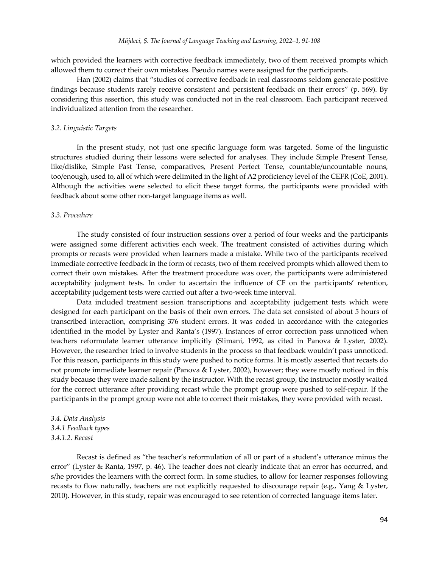which provided the learners with corrective feedback immediately, two of them received prompts which allowed them to correct their own mistakes. Pseudo names were assigned for the participants.

Han (2002) claims that "studies of corrective feedback in real classrooms seldom generate positive findings because students rarely receive consistent and persistent feedback on their errors" (p. 569). By considering this assertion, this study was conducted not in the real classroom. Each participant received individualized attention from the researcher.

#### *3.2. Linguistic Targets*

In the present study, not just one specific language form was targeted. Some of the linguistic structures studied during their lessons were selected for analyses. They include Simple Present Tense, like/dislike, Simple Past Tense, comparatives, Present Perfect Tense, countable/uncountable nouns, too/enough, used to, all of which were delimited in the light of A2 proficiency level of the CEFR (CoE, 2001). Although the activities were selected to elicit these target forms, the participants were provided with feedback about some other non-target language items as well.

#### *3.3. Procedure*

The study consisted of four instruction sessions over a period of four weeks and the participants were assigned some different activities each week. The treatment consisted of activities during which prompts or recasts were provided when learners made a mistake. While two of the participants received immediate corrective feedback in the form of recasts, two of them received prompts which allowed them to correct their own mistakes. After the treatment procedure was over, the participants were administered acceptability judgment tests. In order to ascertain the influence of CF on the participants' retention, acceptability judgement tests were carried out after a two-week time interval.

Data included treatment session transcriptions and acceptability judgement tests which were designed for each participant on the basis of their own errors. The data set consisted of about 5 hours of transcribed interaction, comprising 376 student errors. It was coded in accordance with the categories identified in the model by Lyster and Ranta's (1997). Instances of error correction pass unnoticed when teachers reformulate learner utterance implicitly (Slimani, 1992, as cited in Panova & Lyster, 2002). However, the researcher tried to involve students in the process so that feedback wouldn't pass unnoticed. For this reason, participants in this study were pushed to notice forms. It is mostly asserted that recasts do not promote immediate learner repair (Panova & Lyster, 2002), however; they were mostly noticed in this study because they were made salient by the instructor. With the recast group, the instructor mostly waited for the correct utterance after providing recast while the prompt group were pushed to self-repair. If the participants in the prompt group were not able to correct their mistakes, they were provided with recast.

# *3.4. Data Analysis 3.4.1 Feedback types 3.4.1.2. Recast*

Recast is defined as "the teacher's reformulation of all or part of a student's utterance minus the error" (Lyster & Ranta, 1997, p. 46). The teacher does not clearly indicate that an error has occurred, and s/he provides the learners with the correct form. In some studies, to allow for learner responses following recasts to flow naturally, teachers are not explicitly requested to discourage repair (e.g., Yang & Lyster, 2010). However, in this study, repair was encouraged to see retention of corrected language items later.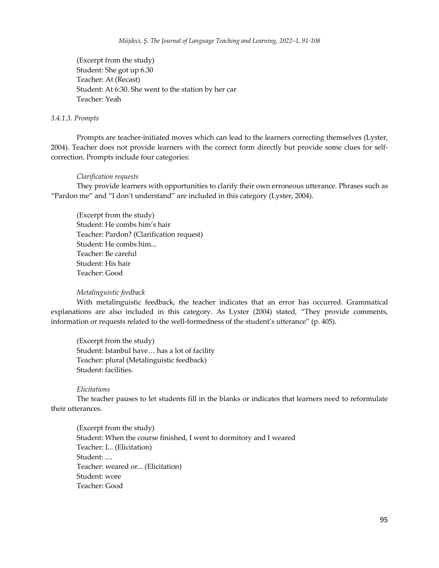(Excerpt from the study) Student: She got up 6.30 Teacher: At (Recast) Student: At 6:30. She went to the station by her car Teacher: Yeah

#### *3.4.1.3. Prompts*

Prompts are teacher-initiated moves which can lead to the learners correcting themselves (Lyster, 2004). Teacher does not provide learners with the correct form directly but provide some clues for selfcorrection. Prompts include four categories:

#### *Clarification requests*

They provide learners with opportunities to clarify their own erroneous utterance. Phrases such as "Pardon me" and "I don't understand" are included in this category (Lyster, 2004).

(Excerpt from the study) Student: He combs him's hair Teacher: Pardon? (Clarification request) Student: He combs him... Teacher: Be careful Student: His hair Teacher: Good

#### *Metalinguistic feedback*

With metalinguistic feedback, the teacher indicates that an error has occurred. Grammatical explanations are also included in this category. As Lyster (2004) stated, "They provide comments, information or requests related to the well-formedness of the student's utterance" (p. 405).

(Excerpt from the study) Student: Istanbul have… has a lot of facility Teacher: plural (Metalinguistic feedback) Student: facilities.

#### *Elicitations*

The teacher pauses to let students fill in the blanks or indicates that learners need to reformulate their utterances.

(Excerpt from the study) Student: When the course finished, I went to dormitory and I weared Teacher: I... (Elicitation) Student: .... Teacher: weared or... (Elicitation) Student: wore Teacher: Good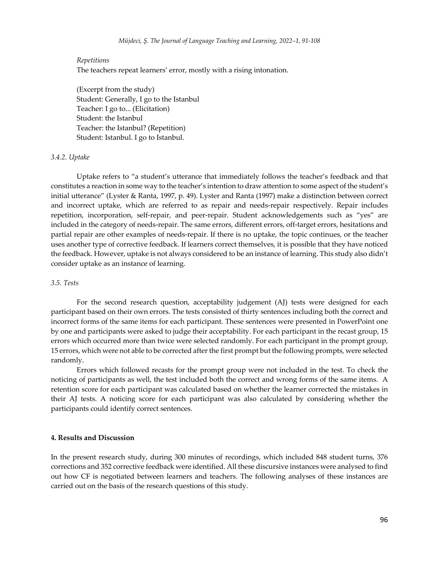#### *Repetitions*

The teachers repeat learners' error, mostly with a rising intonation.

(Excerpt from the study) Student: Generally, I go to the Istanbul Teacher: I go to... (Elicitation) Student: the Istanbul Teacher: the Istanbul? (Repetition) Student: Istanbul. I go to Istanbul.

#### *3.4.2. Uptake*

Uptake refers to "a student's utterance that immediately follows the teacher's feedback and that constitutes a reaction in some way to the teacher's intention to draw attention to some aspect of the student's initial utterance" (Lyster & Ranta, 1997, p. 49). Lyster and Ranta (1997) make a distinction between correct and incorrect uptake, which are referred to as repair and needs-repair respectively. Repair includes repetition, incorporation, self-repair, and peer-repair. Student acknowledgements such as "yes" are included in the category of needs-repair. The same errors, different errors, off-target errors, hesitations and partial repair are other examples of needs-repair. If there is no uptake, the topic continues, or the teacher uses another type of corrective feedback. If learners correct themselves, it is possible that they have noticed the feedback. However, uptake is not always considered to be an instance of learning. This study also didn't consider uptake as an instance of learning.

#### *3.5. Tests*

For the second research question, acceptability judgement (AJ) tests were designed for each participant based on their own errors. The tests consisted of thirty sentences including both the correct and incorrect forms of the same items for each participant. These sentences were presented in PowerPoint one by one and participants were asked to judge their acceptability. For each participant in the recast group, 15 errors which occurred more than twice were selected randomly. For each participant in the prompt group, 15 errors, which were not able to be corrected after the first prompt but the following prompts, were selected randomly.

Errors which followed recasts for the prompt group were not included in the test. To check the noticing of participants as well, the test included both the correct and wrong forms of the same items. A retention score for each participant was calculated based on whether the learner corrected the mistakes in their AJ tests. A noticing score for each participant was also calculated by considering whether the participants could identify correct sentences.

#### **4. Results and Discussion**

In the present research study, during 300 minutes of recordings, which included 848 student turns, 376 corrections and 352 corrective feedback were identified. All these discursive instances were analysed to find out how CF is negotiated between learners and teachers. The following analyses of these instances are carried out on the basis of the research questions of this study.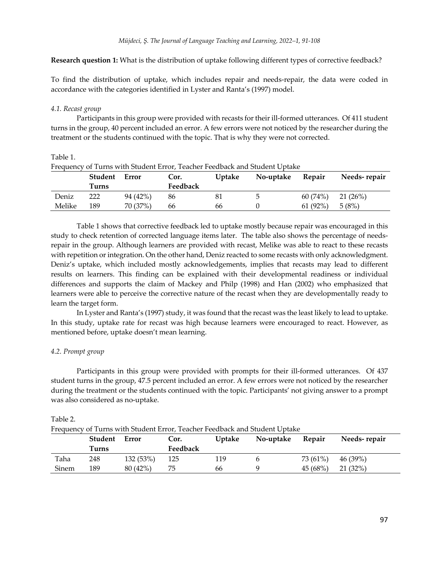**Research question 1:** What is the distribution of uptake following different types of corrective feedback?

To find the distribution of uptake, which includes repair and needs-repair, the data were coded in accordance with the categories identified in Lyster and Ranta's (1997) model.

#### *4.1. Recast group*

Table 1.

Participants in this group were provided with recasts for their ill-formed utterances. Of 411 student turns in the group, 40 percent included an error. A few errors were not noticed by the researcher during the treatment or the students continued with the topic. That is why they were not corrected.

| Frequency of Turns with Student Error, Teacher Feedback and Student Uptake |         |          |          |               |           |            |              |
|----------------------------------------------------------------------------|---------|----------|----------|---------------|-----------|------------|--------------|
|                                                                            | Student | Error    | Cor.     | <b>Uptake</b> | No-uptake | Repair     | Needs-repair |
|                                                                            | Turns   |          | Feedback |               |           |            |              |
| Deniz                                                                      | 222     | 94 (42%) | 86       | 81            |           | 60 (74%)   | 21 (26%)     |
| Melike                                                                     | 189     | 70 (37%) | 66       | 66            |           | $61(92\%)$ | 5(8%)        |

Frequency of Turns with Student Error, Teacher Feedback and Student Uptake

Table 1 shows that corrective feedback led to uptake mostly because repair was encouraged in this study to check retention of corrected language items later. The table also shows the percentage of needsrepair in the group. Although learners are provided with recast, Melike was able to react to these recasts with repetition or integration. On the other hand, Deniz reacted to some recasts with only acknowledgment. Deniz's uptake, which included mostly acknowledgements, implies that recasts may lead to different results on learners. This finding can be explained with their developmental readiness or individual differences and supports the claim of Mackey and Philp (1998) and Han (2002) who emphasized that learners were able to perceive the corrective nature of the recast when they are developmentally ready to learn the target form.

In Lyster and Ranta's (1997) study, it was found that the recast was the least likely to lead to uptake. In this study, uptake rate for recast was high because learners were encouraged to react. However, as mentioned before, uptake doesn't mean learning.

### *4.2. Prompt group*

Participants in this group were provided with prompts for their ill-formed utterances. Of 437 student turns in the group, 47.5 percent included an error. A few errors were not noticed by the researcher during the treatment or the students continued with the topic. Participants' not giving answer to a prompt was also considered as no-uptake.

| Frequency of Turns with Student Error, Teacher Feedback and Student Uptake |         |          |          |               |           |          |              |  |
|----------------------------------------------------------------------------|---------|----------|----------|---------------|-----------|----------|--------------|--|
|                                                                            | Student | Error    | Cor.     | <b>Uptake</b> | No-uptake | Repair   | Needs-repair |  |
|                                                                            | Turns   |          | Feedback |               |           |          |              |  |
| Taha                                                                       | 248     | 132(53%) | 125      | 119           |           | 73 (61%) | 46 (39%)     |  |
| Sinem                                                                      | 189     | 80(42%)  | 75       | 66            |           | 45 (68%) | 21 (32%)     |  |

#### Table 2.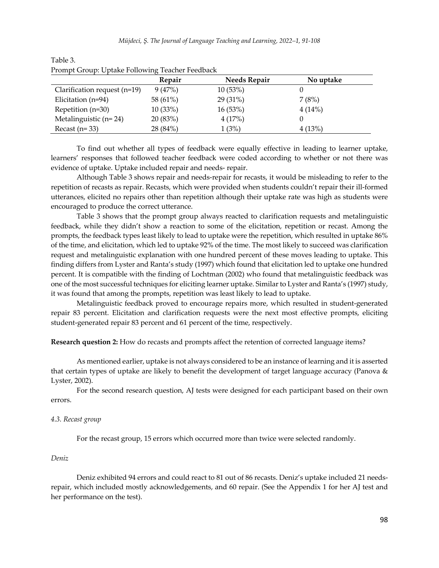| Trollipt Group. Optake Following Teacher Feedback |          |                     |           |  |  |
|---------------------------------------------------|----------|---------------------|-----------|--|--|
|                                                   | Repair   | <b>Needs Repair</b> | No uptake |  |  |
| Clarification request $(n=19)$                    | 9(47%)   | 10(53%)             |           |  |  |
| Elicitation (n=94)                                | 58 (61%) | 29(31%)             | 7(8%)     |  |  |
| Repetition (n=30)                                 | 10(33%)  | 16(53%)             | 4(14%)    |  |  |
| Metalinguistic $(n=24)$                           | 20(83%)  | 4(17%)              |           |  |  |
| Recast $(n=33)$                                   | 28 (84%) | 1(3%)               | 4(13%)    |  |  |

| Table 3. |                                                 |  |  |  |  |
|----------|-------------------------------------------------|--|--|--|--|
|          | Prompt Group: Uptake Following Teacher Feedback |  |  |  |  |

To find out whether all types of feedback were equally effective in leading to learner uptake, learners' responses that followed teacher feedback were coded according to whether or not there was evidence of uptake. Uptake included repair and needs- repair.

Although Table 3 shows repair and needs-repair for recasts, it would be misleading to refer to the repetition of recasts as repair. Recasts, which were provided when students couldn't repair their ill-formed utterances, elicited no repairs other than repetition although their uptake rate was high as students were encouraged to produce the correct utterance.

Table 3 shows that the prompt group always reacted to clarification requests and metalinguistic feedback, while they didn't show a reaction to some of the elicitation, repetition or recast. Among the prompts, the feedback types least likely to lead to uptake were the repetition, which resulted in uptake 86% of the time, and elicitation, which led to uptake 92% of the time. The most likely to succeed was clarification request and metalinguistic explanation with one hundred percent of these moves leading to uptake. This finding differs from Lyster and Ranta's study (1997) which found that elicitation led to uptake one hundred percent. It is compatible with the finding of Lochtman (2002) who found that metalinguistic feedback was one of the most successful techniques for eliciting learner uptake. Similar to Lyster and Ranta's (1997) study, it was found that among the prompts, repetition was least likely to lead to uptake.

Metalinguistic feedback proved to encourage repairs more, which resulted in student-generated repair 83 percent. Elicitation and clarification requests were the next most effective prompts, eliciting student-generated repair 83 percent and 61 percent of the time, respectively.

**Research question 2:** How do recasts and prompts affect the retention of corrected language items?

As mentioned earlier, uptake is not always considered to be an instance of learning and it is asserted that certain types of uptake are likely to benefit the development of target language accuracy (Panova & Lyster, 2002).

For the second research question, AJ tests were designed for each participant based on their own errors.

#### *4.3. Recast group*

For the recast group, 15 errors which occurred more than twice were selected randomly.

#### *Deniz*

Deniz exhibited 94 errors and could react to 81 out of 86 recasts. Deniz's uptake included 21 needsrepair, which included mostly acknowledgements, and 60 repair. (See the Appendix 1 for her AJ test and her performance on the test).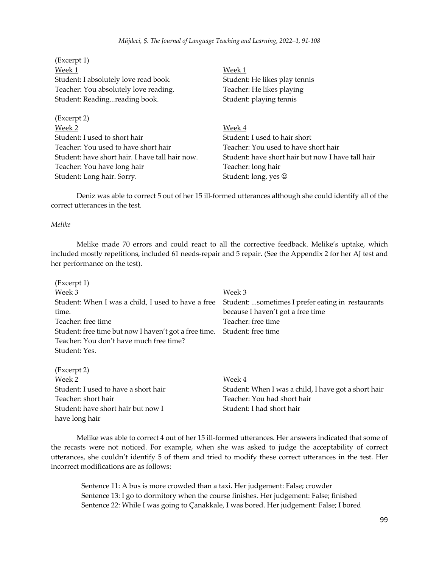(Excerpt 1) Week 1 Week 1 Student: I absolutely love read book. Student: He likes play tennis Teacher: You absolutely love reading. Teacher: He likes playing Student: Reading...reading book. Student: playing tennis (Excerpt 2) Week 2 Week 4 Student: I used to short hair Student: I used to hair short Teacher: You used to have short hair Teacher: You used to have short hair Student: have short hair. I have tall hair now. Student: have short hair but now I have tall hair Teacher: You have long hair Teacher: long hair Student: Long hair. Sorry. Student: long, yes  $\odot$ 

Deniz was able to correct 5 out of her 15 ill-formed utterances although she could identify all of the correct utterances in the test.

# *Melike*

Melike made 70 errors and could react to all the corrective feedback. Melike's uptake, which included mostly repetitions, included 61 needs-repair and 5 repair. (See the Appendix 2 for her AJ test and her performance on the test).

| (Excerpt 1)                                           |                                                   |
|-------------------------------------------------------|---------------------------------------------------|
| Week 3                                                | Week 3                                            |
| Student: When I was a child, I used to have a free    | Student: sometimes I prefer eating in restaurants |
| time.                                                 | because I haven't got a free time                 |
| Teacher: free time                                    | Teacher: free time                                |
| Student: free time but now I haven't got a free time. | Student: free time                                |
| Teacher: You don't have much free time?               |                                                   |
| Student: Yes.                                         |                                                   |
| (Excerpt 2)                                           |                                                   |
| Week 2                                                | Week 4                                            |
| Student: Lused to have a short hair                   | Student: When Lwas a child Lhave got a short hair |

o have a short hair Student: When I was a child, I have got a short hair Teacher: short hair Teacher: You had short hair Student: have short hair but now I Student: I had short hair have long hair

Melike was able to correct 4 out of her 15 ill-formed utterances. Her answers indicated that some of the recasts were not noticed. For example, when she was asked to judge the acceptability of correct utterances, she couldn't identify 5 of them and tried to modify these correct utterances in the test. Her incorrect modifications are as follows:

Sentence 11: A bus is more crowded than a taxi. Her judgement: False; crowder Sentence 13: I go to dormitory when the course finishes. Her judgement: False; finished Sentence 22: While I was going to Çanakkale, I was bored. Her judgement: False; I bored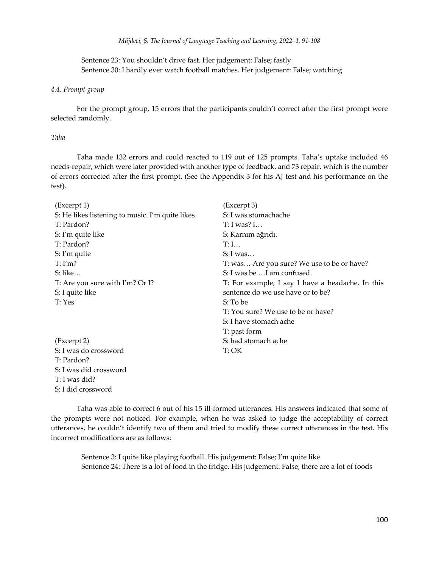Sentence 23: You shouldn't drive fast. Her judgement: False; fastly Sentence 30: I hardly ever watch football matches. Her judgement: False; watching

#### *4.4. Prompt group*

For the prompt group, 15 errors that the participants couldn't correct after the first prompt were selected randomly.

#### *Taha*

Taha made 132 errors and could reacted to 119 out of 125 prompts. Taha's uptake included 46 needs-repair, which were later provided with another type of feedback, and 73 repair, which is the number of errors corrected after the first prompt. (See the Appendix 3 for his AJ test and his performance on the test).

| (Excerpt 1)                                     | (Excerpt 3)                                      |
|-------------------------------------------------|--------------------------------------------------|
| S: He likes listening to music. I'm quite likes | S: I was stomachache                             |
| T: Pardon?                                      | T: I was? I                                      |
| S: I'm quite like                               | S: Karnım ağrıdı.                                |
| T: Pardon?                                      | T: I                                             |
| S: I'm quite                                    | S: I was                                         |
| T: I'm?                                         | T: was Are you sure? We use to be or have?       |
| $S:$ like                                       | S: I was be  I am confused.                      |
| T: Are you sure with I'm? Or I?                 | T: For example, I say I have a headache. In this |
| S: I quite like                                 | sentence do we use have or to be?                |
| T: Yes                                          | S: To be                                         |
|                                                 | T: You sure? We use to be or have?               |
|                                                 | S: I have stomach ache                           |
|                                                 | T: past form                                     |
| (Excerpt 2)                                     | S: had stomach ache                              |
| S: I was do crossword                           | T:OK                                             |
| T: Pardon?                                      |                                                  |
| S: I was did crossword                          |                                                  |
| T: I was did?                                   |                                                  |
| S: I did crossword                              |                                                  |

Taha was able to correct 6 out of his 15 ill-formed utterances. His answers indicated that some of the prompts were not noticed. For example, when he was asked to judge the acceptability of correct utterances, he couldn't identify two of them and tried to modify these correct utterances in the test. His incorrect modifications are as follows:

Sentence 3: I quite like playing football. His judgement: False; I'm quite like Sentence 24: There is a lot of food in the fridge. His judgement: False; there are a lot of foods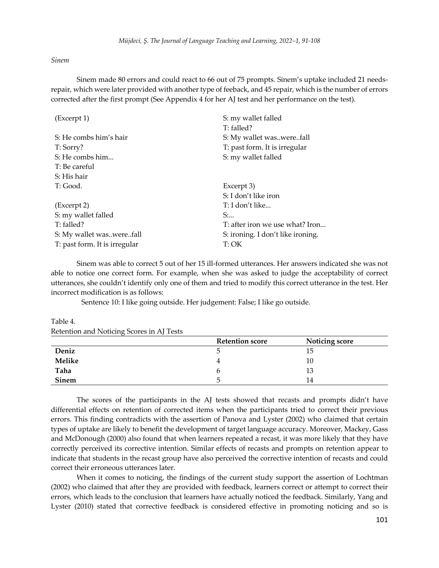#### *Sinem*

Sinem made 80 errors and could react to 66 out of 75 prompts. Sinem's uptake included 21 needsrepair, which were later provided with another type of feeback, and 45 repair, which is the number of errors corrected after the first prompt (See Appendix 4 for her AJ test and her performance on the test).

| (Excerpt 1)                   | S: my wallet falled               |
|-------------------------------|-----------------------------------|
|                               | T: falled?                        |
| S: He combs him's hair        | S: My wallet waswerefall          |
| T: Sorry?                     | T: past form. It is irregular     |
| S: He combs him               | S: my wallet falled               |
| T: Be careful                 |                                   |
| S: His hair                   |                                   |
| T: Good.                      | Excerpt 3)                        |
|                               | S: I don't like iron              |
| (Excerpt 2)                   | T: I don't like                   |
| S: my wallet falled           | $S:$                              |
| T: falled?                    | T: after iron we use what? Iron   |
| S: My wallet waswerefall      | S: ironing. I don't like ironing. |
| T: past form. It is irregular | T:OK                              |

Sinem was able to correct 5 out of her 15 ill-formed utterances. Her answers indicated she was not able to notice one correct form. For example, when she was asked to judge the acceptability of correct utterances, she couldn't identify only one of them and tried to modify this correct utterance in the test. Her incorrect modification is as follows:

Sentence 10: I like going outside. Her judgement: False; I like go outside.

**Retention score Noticing score Deniz** 5 15 **Melike** 10 **Taha** 13 **Sinem** 5 14

Table 4. Retention and Noticing Scores in AJ Tests

The scores of the participants in the AJ tests showed that recasts and prompts didn't have differential effects on retention of corrected items when the participants tried to correct their previous errors. This finding contradicts with the assertion of Panova and Lyster (2002) who claimed that certain types of uptake are likely to benefit the development of target language accuracy. Moreover, Mackey, Gass and McDonough (2000) also found that when learners repeated a recast, it was more likely that they have correctly perceived its corrective intention. Similar effects of recasts and prompts on retention appear to indicate that students in the recast group have also perceived the corrective intention of recasts and could correct their erroneous utterances later.

When it comes to noticing, the findings of the current study support the assertion of Lochtman (2002) who claimed that after they are provided with feedback, learners correct or attempt to correct their errors, which leads to the conclusion that learners have actually noticed the feedback. Similarly, Yang and Lyster (2010) stated that corrective feedback is considered effective in promoting noticing and so is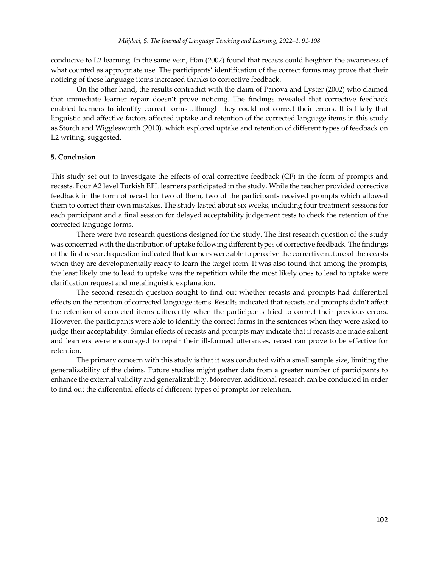conducive to L2 learning. In the same vein, Han (2002) found that recasts could heighten the awareness of what counted as appropriate use. The participants' identification of the correct forms may prove that their noticing of these language items increased thanks to corrective feedback.

On the other hand, the results contradict with the claim of Panova and Lyster (2002) who claimed that immediate learner repair doesn't prove noticing. The findings revealed that corrective feedback enabled learners to identify correct forms although they could not correct their errors. It is likely that linguistic and affective factors affected uptake and retention of the corrected language items in this study as Storch and Wigglesworth (2010), which explored uptake and retention of different types of feedback on L2 writing, suggested.

### **5. Conclusion**

This study set out to investigate the effects of oral corrective feedback (CF) in the form of prompts and recasts. Four A2 level Turkish EFL learners participated in the study. While the teacher provided corrective feedback in the form of recast for two of them, two of the participants received prompts which allowed them to correct their own mistakes. The study lasted about six weeks, including four treatment sessions for each participant and a final session for delayed acceptability judgement tests to check the retention of the corrected language forms.

There were two research questions designed for the study. The first research question of the study was concerned with the distribution of uptake following different types of corrective feedback. The findings of the first research question indicated that learners were able to perceive the corrective nature of the recasts when they are developmentally ready to learn the target form. It was also found that among the prompts, the least likely one to lead to uptake was the repetition while the most likely ones to lead to uptake were clarification request and metalinguistic explanation.

The second research question sought to find out whether recasts and prompts had differential effects on the retention of corrected language items. Results indicated that recasts and prompts didn't affect the retention of corrected items differently when the participants tried to correct their previous errors. However, the participants were able to identify the correct forms in the sentences when they were asked to judge their acceptability. Similar effects of recasts and prompts may indicate that if recasts are made salient and learners were encouraged to repair their ill-formed utterances, recast can prove to be effective for retention.

The primary concern with this study is that it was conducted with a small sample size, limiting the generalizability of the claims. Future studies might gather data from a greater number of participants to enhance the external validity and generalizability. Moreover, additional research can be conducted in order to find out the differential effects of different types of prompts for retention.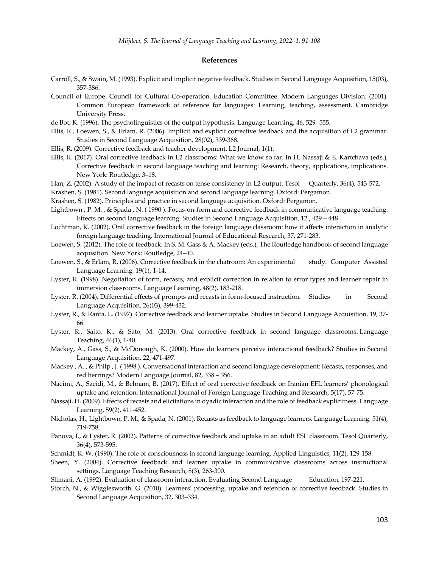#### **References**

- Carroll, S., & Swain, M. (1993). Explicit and implicit negative feedback. Studies in Second Language Acquisition, 15(03), 357-386.
- Council of Europe. Council for Cultural Co-operation. Education Committee. Modern Languages Division. (2001). Common European framework of reference for languages: Learning, teaching, assessment. Cambridge University Press.
- de Bot, K. (1996). The psycholinguistics of the output hypothesis. Language Learning, 46, 529- 555.
- Ellis, R., Loewen, S., & Erlam, R. (2006). Implicit and explicit corrective feedback and the acquisition of L2 grammar. Studies in Second Language Acquisition, 28(02), 339-368.
- Ellis, R. (2009). Corrective feedback and teacher development. L2 Journal, 1(1).
- Ellis, R. (2017). Oral corrective feedback in L2 classrooms: What we know so far. In H. Nassaji & E. Kartchava (eds.), Corrective feedback in second language teaching and learning: Research, theory, applications, implications. New York: Routledge, 3–18.
- Han, Z. (2002). A study of the impact of recasts on tense consistency in L2 output. Tesol Quarterly, 36(4), 543-572.
- Krashen, S. (1981). Second language acquisition and second language learning. Oxford: Pergamon.
- Krashen, S. (1982). Principles and practice in second language acquisition. Oxford: Pergamon.
- Lightbown , P. M. , & Spada , N. ( 1990 ). Focus-on-form and corrective feedback in communicative language teaching: Effects on second language learning. Studies in Second Language Acquisition, 12 , 429 – 448 .
- Lochtman, K. (2002). Oral corrective feedback in the foreign language classroom: how it affects interaction in analytic foreign language teaching. International Journal of Educational Research, 37, 271-283.
- Loewen, S. (2012). The role of feedback. In S. M. Gass & A. Mackey (eds.), The Routledge handbook of second language acquisition. New York: Routledge, 24–40.
- Loewen, S., & Erlam, R. (2006). Corrective feedback in the chatroom: An experimental study. Computer Assisted Language Learning, 19(1), 1-14.
- Lyster, R. (1998). Negotiation of form, recasts, and explicit correction in relation to error types and learner repair in immersion classrooms. Language Learning, 48(2), 183-218.
- Lyster, R. (2004). Differential effects of prompts and recasts in form-focused instruction. Studies in Second Language Acquisition, 26(03), 399-432.
- Lyster, R., & Ranta, L. (1997). Corrective feedback and learner uptake. Studies in Second Language Acquisition, 19, 37- 66.
- Lyster, R., Saito, K., & Sato, M. (2013). Oral corrective feedback in second language classrooms. Language Teaching, 46(1), 1-40.
- Mackey, A., Gass, S., & McDonough, K. (2000). How do learners perceive interactional feedback? Studies in Second Language Acquisition, 22, 471-497.
- Mackey , A. , & Philp , J. ( 1998 ). Conversational interaction and second language development: Recasts, responses, and red herrings? Modern Language Journal, 82, 338 – 356.
- Naeimi, A., Saeidi, M., & Behnam, B. (2017). Effect of oral corrective feedback on Iranian EFL learners' phonological uptake and retention. International Journal of Foreign Language Teaching and Research, 5(17), 57-75.
- Nassaji, H. (2009). Effects of recasts and elicitations in dyadic interaction and the role of feedback explicitness. Language Learning, 59(2), 411-452.
- Nicholas, H., Lightbown, P. M., & Spada, N. (2001). Recasts as feedback to language learners. Language Learning, 51(4), 719-758.
- Panova, I., & Lyster, R. (2002). Patterns of corrective feedback and uptake in an adult ESL classroom. Tesol Quarterly, 36(4), 573-595.
- Schmidt, R. W. (1990). The role of consciousness in second language learning. Applied Linguistics, 11(2), 129-158.
- Sheen, Y. (2004). Corrective feedback and learner uptake in communicative classrooms across instructional settings. Language Teaching Research, 8(3), 263-300.
- Slimani, A. (1992). Evaluation of classroom interaction. Evaluating Second Language Education, 197-221.
- Storch, N., & Wigglesworth, G. (2010). Learners' processing, uptake and retention of corrective feedback. Studies in Second Language Acquisition, 32, 303–334.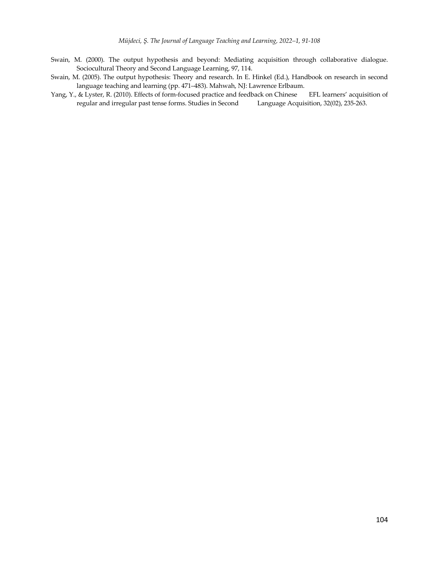- Swain, M. (2000). The output hypothesis and beyond: Mediating acquisition through collaborative dialogue. Sociocultural Theory and Second Language Learning, 97, 114.
- Swain, M. (2005). The output hypothesis: Theory and research. In E. Hinkel (Ed.), Handbook on research in second language teaching and learning (pp. 471–483). Mahwah, NJ: Lawrence Erlbaum.
- Yang, Y., & Lyster, R. (2010). Effects of form-focused practice and feedback on Chinese EFL learners' acquisition of regular and irregular past tense forms. Studies in Second Language Acquisition, 32(02), 235-263.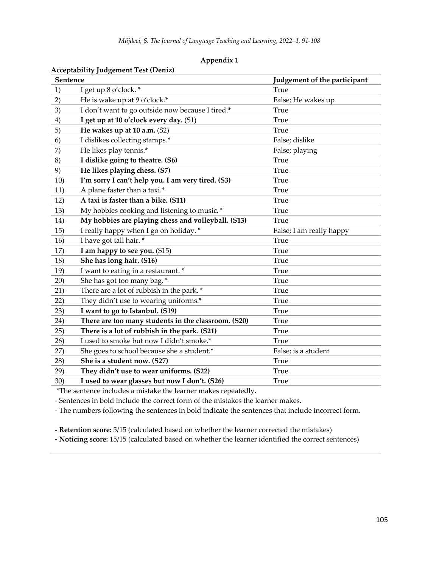| Appendix 1 |  |  |
|------------|--|--|
|------------|--|--|

|                 | Acceptability juugelilelli Test (Delliz)            |                              |
|-----------------|-----------------------------------------------------|------------------------------|
| <b>Sentence</b> |                                                     | Judgement of the participant |
| 1)              | I get up 8 o'clock. *                               | True                         |
| 2)              | He is wake up at 9 o'clock.*                        | False; He wakes up           |
| 3)              | I don't want to go outside now because I tired.*    | True                         |
| 4)              | I get up at 10 o'clock every day. (S1)              | True                         |
| 5)              | He wakes up at 10 a.m. (S2)                         | True                         |
| 6)              | I dislikes collecting stamps.*                      | False; dislike               |
| 7)              | He likes play tennis.*                              | False; playing               |
| 8)              | I dislike going to theatre. (S6)                    | True                         |
| 9)              | He likes playing chess. (S7)                        | <b>True</b>                  |
| 10)             | I'm sorry I can't help you. I am very tired. (S3)   | True                         |
| 11)             | A plane faster than a taxi.*                        | True                         |
| 12)             | A taxi is faster than a bike. (S11)                 | True                         |
| 13)             | My hobbies cooking and listening to music. *        | True                         |
| 14)             | My hobbies are playing chess and volleyball. (S13)  | True                         |
| 15)             | I really happy when I go on holiday. *              | False; I am really happy     |
| 16)             | I have got tall hair. *                             | True                         |
| 17)             | I am happy to see you. (S15)                        | <b>True</b>                  |
| 18)             | She has long hair. (S16)                            | True                         |
| 19)             | I want to eating in a restaurant. *                 | True                         |
| 20)             | She has got too many bag. *                         | True                         |
| 21)             | There are a lot of rubbish in the park. *           | True                         |
| 22)             | They didn't use to wearing uniforms.*               | True                         |
| 23)             | I want to go to Istanbul. (S19)                     | True                         |
| 24)             | There are too many students in the classroom. (S20) | True                         |
| 25)             | There is a lot of rubbish in the park. (S21)        | True                         |
| 26)             | I used to smoke but now I didn't smoke.*            | True                         |
| 27)             | She goes to school because she a student.*          | False; is a student          |
| 28)             | She is a student now. (S27)                         | True                         |
| 29)             | They didn't use to wear uniforms. (S22)             | True                         |
| 30)             | I used to wear glasses but now I don't. (S26)       | True                         |

# **Acceptability Judgement Test (Deniz)**

\*The sentence includes a mistake the learner makes repeatedly.

- Sentences in bold include the correct form of the mistakes the learner makes.

- The numbers following the sentences in bold indicate the sentences that include incorrect form.

**- Retention score:** 5/15 (calculated based on whether the learner corrected the mistakes)

**- Noticing score:** 15/15 (calculated based on whether the learner identified the correct sentences)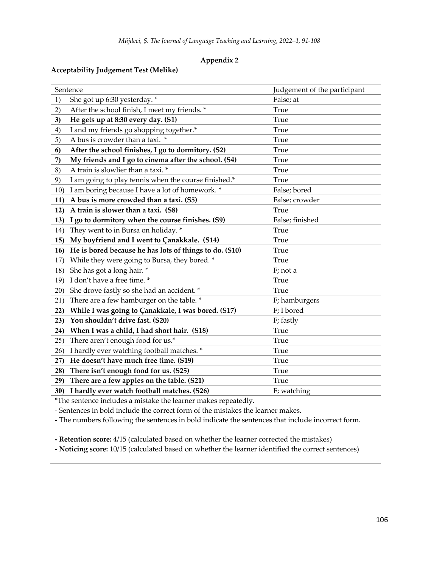### **Appendix 2**

# **Acceptability Judgement Test (Melike)**

| Sentence                                                      | Judgement of the participant |
|---------------------------------------------------------------|------------------------------|
| She got up 6:30 yesterday. *<br>1)                            | False; at                    |
| 2)<br>After the school finish, I meet my friends. *           | True                         |
| He gets up at 8:30 every day. (S1)<br>3)                      | True                         |
| I and my friends go shopping together.*<br>4)                 | True                         |
| A bus is crowder than a taxi. *<br>5)                         | True                         |
| After the school finishes, I go to dormitory. (S2)<br>6       | True                         |
| My friends and I go to cinema after the school. (S4)<br>7)    | True                         |
| A train is slowlier than a taxi. *<br>8)                      | True                         |
| I am going to play tennis when the course finished.*<br>9)    | True                         |
| I am boring because I have a lot of homework. *<br>10)        | False; bored                 |
| A bus is more crowded than a taxi. (S5)<br>11)                | False; crowder               |
| A train is slower than a taxi. (S8)<br>12)                    | True                         |
| I go to dormitory when the course finishes. (S9)<br>13)       | False; finished              |
| They went to in Bursa on holiday. *<br>14)                    | True                         |
| My boyfriend and I went to Çanakkale. (S14)<br>15)            | True                         |
| He is bored because he has lots of things to do. (S10)<br>16) | True                         |
| While they were going to Bursa, they bored. *<br>17)          | True                         |
| She has got a long hair. *<br>18)                             | F; not a                     |
| I don't have a free time. *<br>19)                            | True                         |
| She drove fastly so she had an accident. *<br>20)             | True                         |
| There are a few hamburger on the table. *<br>21)              | F; hamburgers                |
| While I was going to Çanakkale, I was bored. (S17)<br>22)     | F; I bored                   |
| You shouldn't drive fast. (S20)<br>23)                        | F; fastly                    |
| When I was a child, I had short hair. (S18)<br>24)            | True                         |
| There aren't enough food for us.*<br>25)                      | True                         |
| I hardly ever watching football matches. *<br>26)             | True                         |
| He doesn't have much free time. (S19)<br>27)                  | True                         |
| There isn't enough food for us. (S25)<br>28)                  | True                         |
| There are a few apples on the table. (S21)<br>29)             | True                         |
| I hardly ever watch football matches. (S26)<br>30)            | F; watching                  |

\*The sentence includes a mistake the learner makes repeatedly.

- Sentences in bold include the correct form of the mistakes the learner makes.

- The numbers following the sentences in bold indicate the sentences that include incorrect form.

**- Retention score:** 4/15 (calculated based on whether the learner corrected the mistakes)

**- Noticing score:** 10/15 (calculated based on whether the learner identified the correct sentences)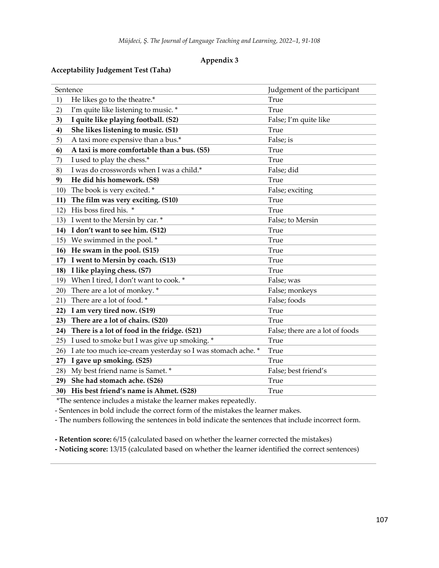# **Appendix 3**

# **Acceptability Judgement Test (Taha)**

|     | Sentence                                                    | Judgement of the participant    |
|-----|-------------------------------------------------------------|---------------------------------|
| 1)  | He likes go to the theatre.*                                | True                            |
| 2)  | I'm quite like listening to music. *                        | True                            |
| 3)  | I quite like playing football. (S2)                         | False; I'm quite like           |
| 4)  | She likes listening to music. (S1)                          | True                            |
| 5)  | A taxi more expensive than a bus.*                          | False; is                       |
| 6   | A taxi is more comfortable than a bus. (S5)                 | True                            |
| 7)  | I used to play the chess.*                                  | True                            |
| 8)  | I was do crosswords when I was a child.*                    | False; did                      |
| 9)  | He did his homework. (S8)                                   | True                            |
| 10) | The book is very excited. *                                 | False; exciting                 |
| 11) | The film was very exciting. (S10)                           | True                            |
| 12) | His boss fired his. *                                       | True                            |
| 13) | I went to the Mersin by car. *                              | False; to Mersin                |
| 14) | I don't want to see him. (S12)                              | True                            |
| 15) | We swimmed in the pool. *                                   | True                            |
| 16) | He swam in the pool. (S15)                                  | True                            |
| 17) | I went to Mersin by coach. (S13)                            | True                            |
| 18) | I like playing chess. (S7)                                  | True                            |
| 19) | When I tired, I don't want to cook. *                       | False; was                      |
| 20) | There are a lot of monkey. *                                | False; monkeys                  |
| 21) | There are a lot of food. *                                  | False; foods                    |
| 22) | I am very tired now. (S19)                                  | True                            |
| 23) | There are a lot of chairs. (S20)                            | True                            |
| 24) | There is a lot of food in the fridge. (S21)                 | False; there are a lot of foods |
| 25) | I used to smoke but I was give up smoking. *                | True                            |
| 26) | I ate too much ice-cream yesterday so I was stomach ache. * | True                            |
| 27) | I gave up smoking. (S25)                                    | True                            |
| 28) | My best friend name is Samet. *                             | False; best friend's            |
| 29) | She had stomach ache. (S26)                                 | True                            |
| 30) | His best friend's name is Ahmet. (S28)                      | True                            |

\*The sentence includes a mistake the learner makes repeatedly.

- Sentences in bold include the correct form of the mistakes the learner makes.

- The numbers following the sentences in bold indicate the sentences that include incorrect form.

**- Retention score:** 6/15 (calculated based on whether the learner corrected the mistakes)

**- Noticing score:** 13/15 (calculated based on whether the learner identified the correct sentences)